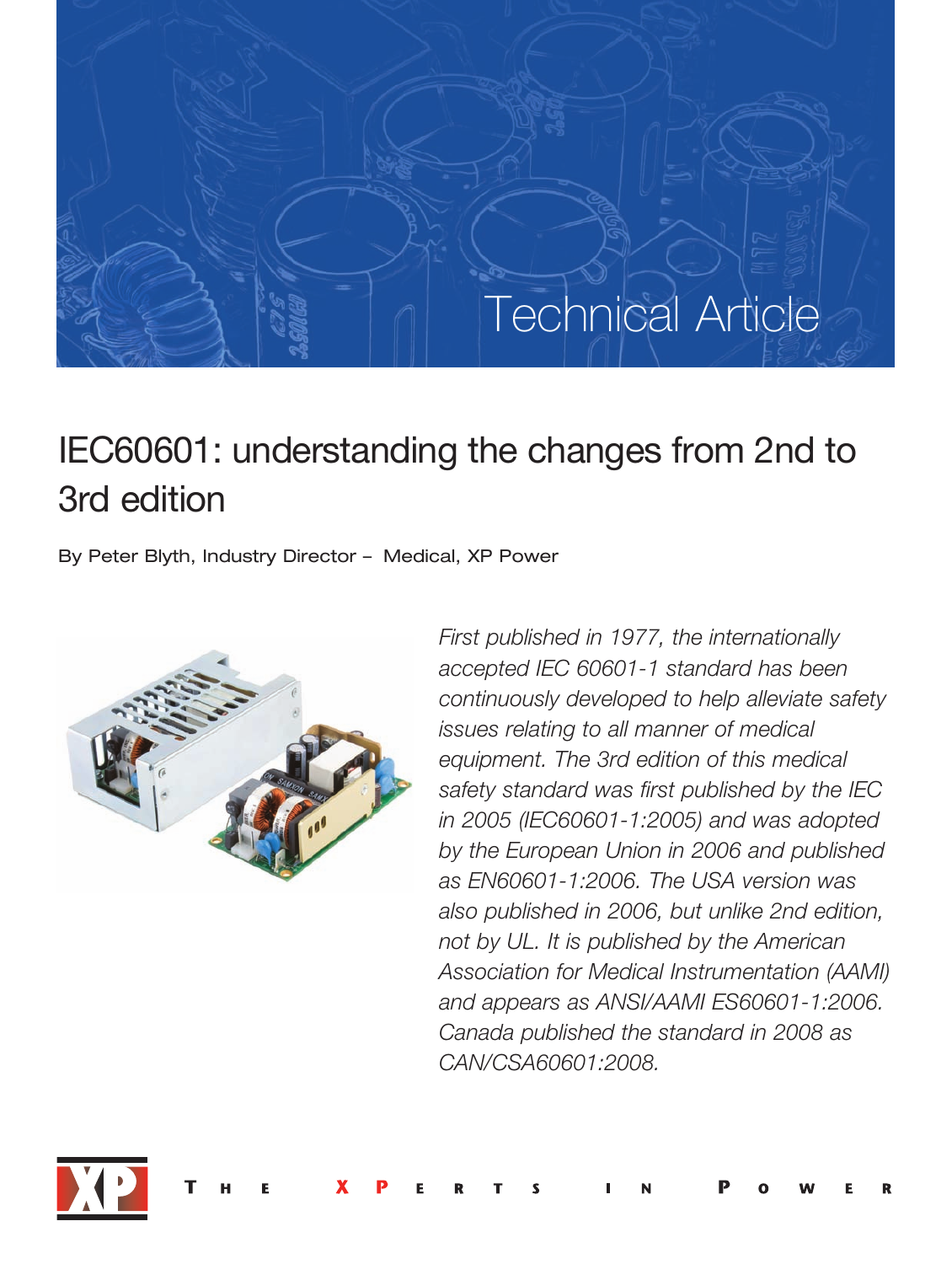# Technical Article

# IEC60601: understanding the changes from 2nd to 3rd edition

By Peter Blyth, Industry Director – Medical, XP Power



*First published in 1977, the internationally accepted IEC 606011 standard has been continuously developed to help alleviate safety issues relating to all manner of medical equipment. The 3rd edition of this medical safety standard was first published by the IEC in 2005 (IEC60601-1:2005) and was adopted by the European Union in 2006 and published as EN606011:2006. The USA version was also published in 2006, but unlike 2nd edition, not by UL. It is published by the American Association for Medical Instrumentation (AAMI)* and appears as ANSI/AAMI ES60601-1:2006. *Canada published the standard in 2008 as CAN/CSA60601:2008.*

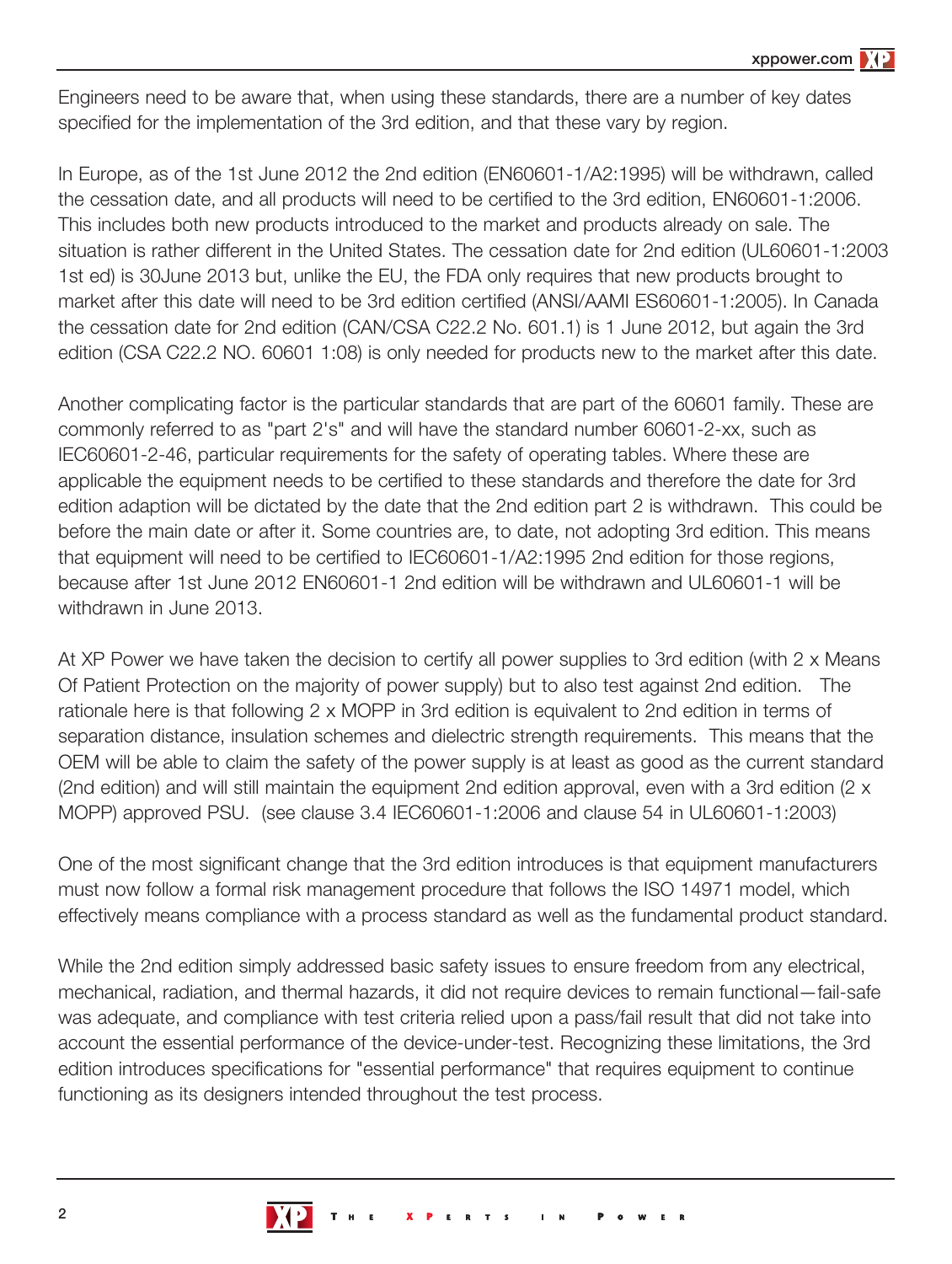Engineers need to be aware that, when using these standards, there are a number of key dates specified for the implementation of the 3rd edition, and that these vary by region.

In Europe, as of the 1st June 2012 the 2nd edition (EN60601-1/A2:1995) will be withdrawn, called the cessation date, and all products will need to be certified to the 3rd edition, EN60601-1:2006. This includes both new products introduced to the market and products already on sale. The situation is rather different in the United States. The cessation date for 2nd edition (UL60601-1:2003 1st ed) is 30June 2013 but, unlike the EU, the FDA only requires that new products brought to market after this date will need to be 3rd edition certified (ANSI/AAMI ES60601-1:2005). In Canada the cessation date for 2nd edition (CAN/CSA C22.2 No. 601.1) is 1 June 2012, but again the 3rd edition (CSA C22.2 NO. 60601 1:08) is only needed for products new to the market after this date.

Another complicating factor is the particular standards that are part of the 60601 family. These are commonly referred to as "part 2's" and will have the standard number 60601-2-xx, such as IEC60601-2-46, particular requirements for the safety of operating tables. Where these are applicable the equipment needs to be certified to these standards and therefore the date for 3rd edition adaption will be dictated by the date that the 2nd edition part 2 is withdrawn. This could be before the main date or after it. Some countries are, to date, not adopting 3rd edition. This means that equipment will need to be certified to IEC60601-1/A2:1995 2nd edition for those regions, because after 1st June 2012 EN60601-1 2nd edition will be withdrawn and UL60601-1 will be withdrawn in June 2013.

At XP Power we have taken the decision to certify all power supplies to 3rd edition (with 2 x Means Of Patient Protection on the majority of power supply) but to also test against 2nd edition. The rationale here is that following 2 x MOPP in 3rd edition is equivalent to 2nd edition in terms of separation distance, insulation schemes and dielectric strength requirements. This means that the OEM will be able to claim the safety of the power supply is at least as good as the current standard (2nd edition) and will still maintain the equipment 2nd edition approval, even with a 3rd edition (2 x MOPP) approved PSU. (see clause 3.4 IEC60601-1:2006 and clause 54 in UL60601-1:2003)

One of the most significant change that the 3rd edition introduces is that equipment manufacturers must now follow a formal risk management procedure that follows the ISO 14971 model, which effectively means compliance with a process standard as well as the fundamental product standard.

While the 2nd edition simply addressed basic safety issues to ensure freedom from any electrical, mechanical, radiation, and thermal hazards, it did not require devices to remain functional—fail-safe was adequate, and compliance with test criteria relied upon a pass/fail result that did not take into account the essential performance of the device-under-test. Recognizing these limitations, the 3rd edition introduces specifications for "essential performance" that requires equipment to continue functioning as its designers intended throughout the test process.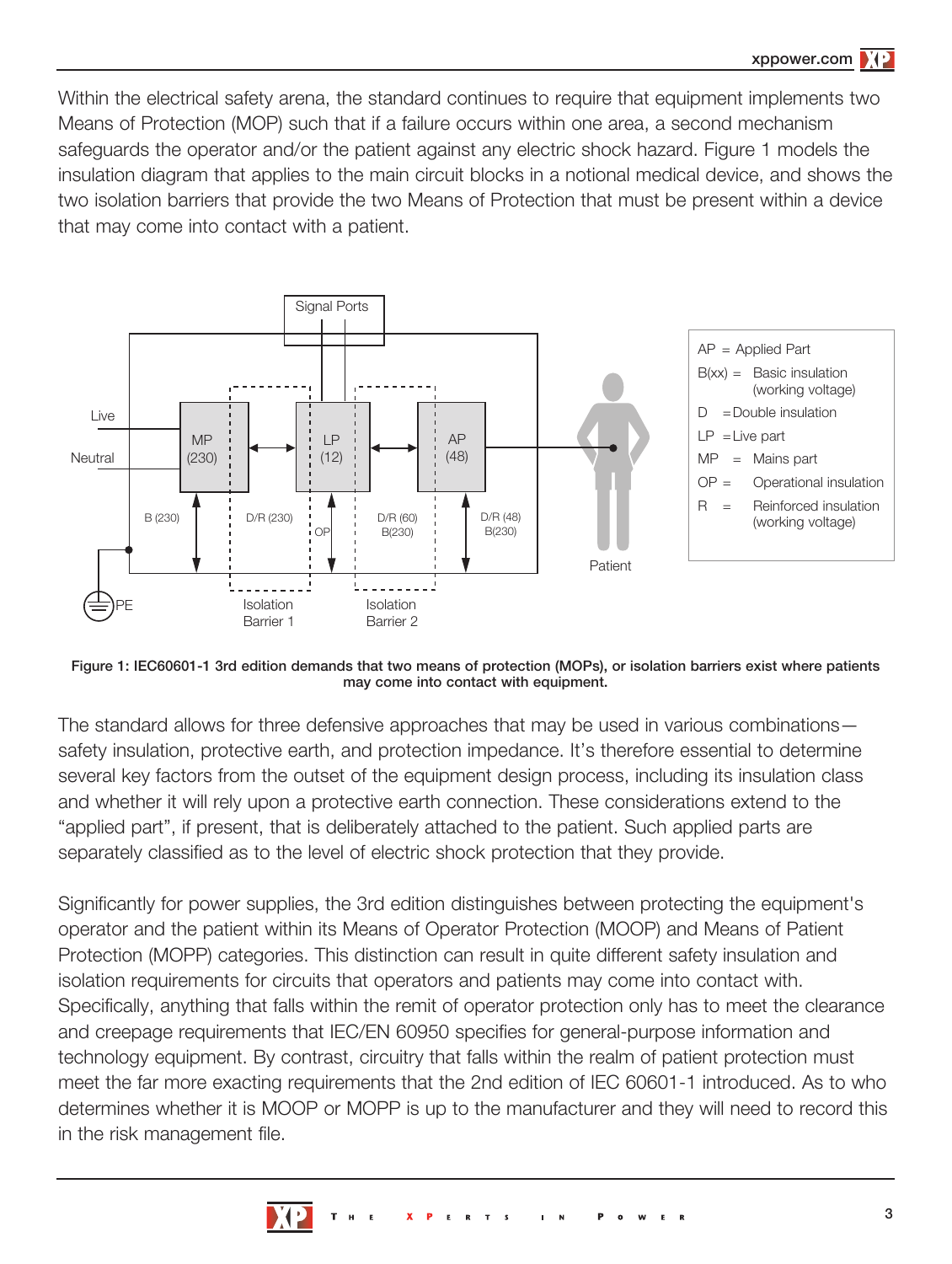Within the electrical safety arena, the standard continues to require that equipment implements two Means of Protection (MOP) such that if a failure occurs within one area, a second mechanism safeguards the operator and/or the patient against any electric shock hazard. Figure 1 models the insulation diagram that applies to the main circuit blocks in a notional medical device, and shows the two isolation barriers that provide the two Means of Protection that must be present within a device that may come into contact with a patient.



Figure 1: IEC60601-1 3rd edition demands that two means of protection (MOPs), or isolation barriers exist where patients may come into contact with equipment.

The standard allows for three defensive approaches that may be used in various combinations safety insulation, protective earth, and protection impedance. It's therefore essential to determine several key factors from the outset of the equipment design process, including its insulation class and whether it will rely upon a protective earth connection. These considerations extend to the "applied part", if present, that is deliberately attached to the patient. Such applied parts are separately classified as to the level of electric shock protection that they provide.

Significantly for power supplies, the 3rd edition distinguishes between protecting the equipment's operator and the patient within its Means of Operator Protection (MOOP) and Means of Patient Protection (MOPP) categories. This distinction can result in quite different safety insulation and isolation requirements for circuits that operators and patients may come into contact with. Specifically, anything that falls within the remit of operator protection only has to meet the clearance and creepage requirements that IEC/EN 60950 specifies for general-purpose information and technology equipment. By contrast, circuitry that falls within the realm of patient protection must meet the far more exacting requirements that the 2nd edition of IEC 60601-1 introduced. As to who determines whether it is MOOP or MOPP is up to the manufacturer and they will need to record this in the risk management file.

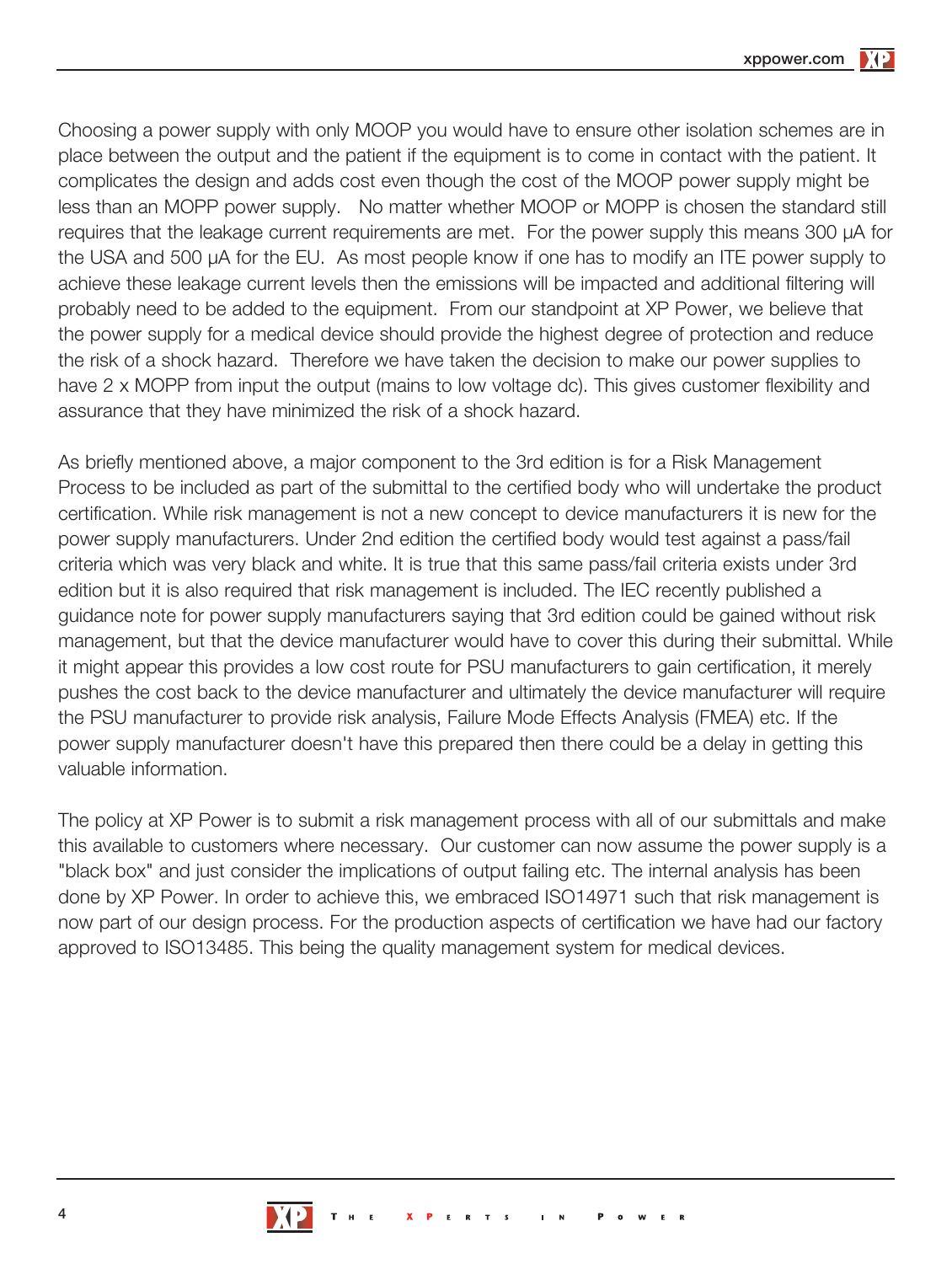xppower.com

Choosing a power supply with only MOOP you would have to ensure other isolation schemes are in place between the output and the patient if the equipment is to come in contact with the patient. It complicates the design and adds cost even though the cost of the MOOP power supply might be less than an MOPP power supply. No matter whether MOOP or MOPP is chosen the standard still requires that the leakage current requirements are met. For the power supply this means 300 µA for the USA and 500 µA for the EU. As most people know if one has to modify an ITE power supply to achieve these leakage current levels then the emissions will be impacted and additional filtering will probably need to be added to the equipment. From our standpoint at XP Power, we believe that the power supply for a medical device should provide the highest degree of protection and reduce the risk of a shock hazard. Therefore we have taken the decision to make our power supplies to have 2 x MOPP from input the output (mains to low voltage dc). This gives customer flexibility and assurance that they have minimized the risk of a shock hazard.

As briefly mentioned above, a major component to the 3rd edition is for a Risk Management Process to be included as part of the submittal to the certified body who will undertake the product certification. While risk management is not a new concept to device manufacturers it is new for the power supply manufacturers. Under 2nd edition the certified body would test against a pass/fail criteria which was very black and white. It is true that this same pass/fail criteria exists under 3rd edition but it is also required that risk management is included. The IEC recently published a guidance note for power supply manufacturers saying that 3rd edition could be gained without risk management, but that the device manufacturer would have to cover this during their submittal. While it might appear this provides a low cost route for PSU manufacturers to gain certification, it merely pushes the cost back to the device manufacturer and ultimately the device manufacturer will require the PSU manufacturer to provide risk analysis, Failure Mode Effects Analysis (FMEA) etc. If the power supply manufacturer doesn't have this prepared then there could be a delay in getting this valuable information.

The policy at XP Power is to submit a risk management process with all of our submittals and make this available to customers where necessary. Our customer can now assume the power supply is a "black box" and just consider the implications of output failing etc. The internal analysis has been done by XP Power. In order to achieve this, we embraced ISO14971 such that risk management is now part of our design process. For the production aspects of certification we have had our factory approved to ISO13485. This being the quality management system for medical devices.